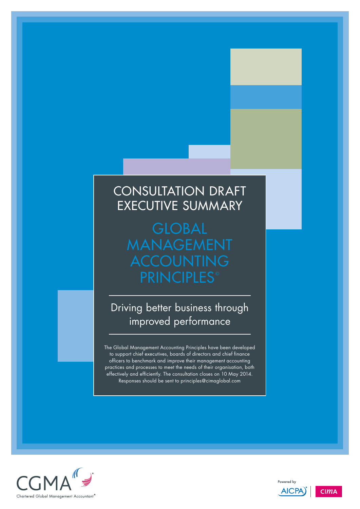# CONSULTATION DRAFT Executive summary

**GLOBAL** management **ACCOUNTING PRINCIPLES®** 

Driving better business through improved performance

The Global Management Accounting Principles have been developed to support chief executives, boards of directors and chief finance officers to benchmark and improve their management accounting practices and processes to meet the needs of their organisation, both effectively and efficiently. The consultation closes on 10 May 2014. Responses should be sent to principles@cimaglobal.com





**AICPA** 

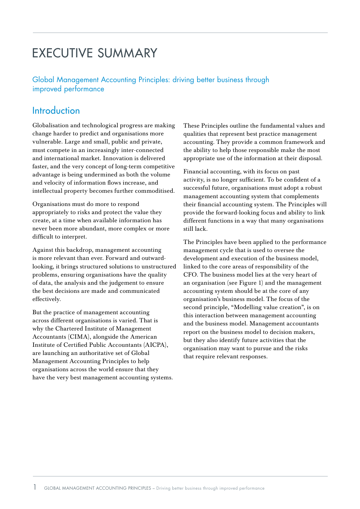# Executive summary

Global Management Accounting Principles: driving better business through improved performance

# Introduction

Globalisation and technological progress are making change harder to predict and organisations more vulnerable. Large and small, public and private, must compete in an increasingly inter-connected and international market. Innovation is delivered faster, and the very concept of long-term competitive advantage is being undermined as both the volume and velocity of information flows increase, and intellectual property becomes further commoditised.

Organisations must do more to respond appropriately to risks and protect the value they create, at a time when available information has never been more abundant, more complex or more difficult to interpret.

Against this backdrop, management accounting is more relevant than ever. Forward and outwardlooking, it brings structured solutions to unstructured problems, ensuring organisations have the quality of data, the analysis and the judgement to ensure the best decisions are made and communicated effectively.

But the practice of management accounting across different organisations is varied. That is why the Chartered Institute of Management Accountants (CIMA), alongside the American Institute of Certified Public Accountants (AICPA), are launching an authoritative set of Global Management Accounting Principles to help organisations across the world ensure that they have the very best management accounting systems. These Principles outline the fundamental values and qualities that represent best practice management accounting. They provide a common framework and the ability to help those responsible make the most appropriate use of the information at their disposal.

Financial accounting, with its focus on past activity, is no longer sufficient. To be confident of a successful future, organisations must adopt a robust management accounting system that complements their financial accounting system. The Principles will provide the forward-looking focus and ability to link different functions in a way that many organisations still lack.

The Principles have been applied to the performance management cycle that is used to oversee the development and execution of the business model, linked to the core areas of responsibility of the CFO. The business model lies at the very heart of an organisation (see Figure 1) and the management accounting system should be at the core of any organisation's business model. The focus of the second principle, "Modelling value creation", is on this interaction between management accounting and the business model. Management accountants report on the business model to decision makers, but they also identify future activities that the organisation may want to pursue and the risks that require relevant responses.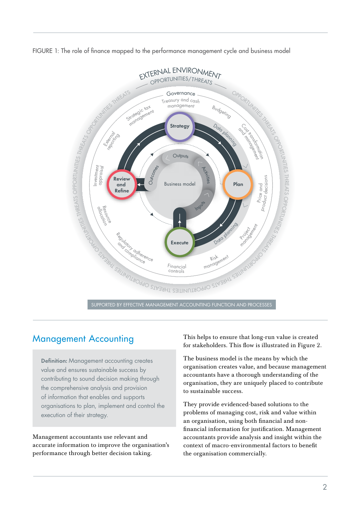



# Management Accounting

**Definition:** Management accounting creates value and ensures sustainable success by contributing to sound decision making through the comprehensive analysis and provision of information that enables and supports organisations to plan, implement and control the execution of their strategy.

Management accountants use relevant and accurate information to improve the organisation's performance through better decision taking.

This helps to ensure that long-run value is created for stakeholders. This flow is illustrated in Figure 2.

The business model is the means by which the organisation creates value, and because management accountants have a thorough understanding of the organisation, they are uniquely placed to contribute to sustainable success.

They provide evidenced-based solutions to the problems of managing cost, risk and value within an organisation, using both financial and nonfinancial information for justification. Management accountants provide analysis and insight within the context of macro-environmental factors to benefit the organisation commercially.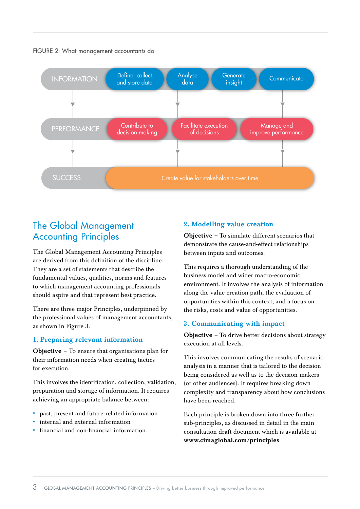

### FIGURE 2: What management accountants do

# The Global Management Accounting Principles

The Global Management Accounting Principles are derived from this definition of the discipline. They are a set of statements that describe the fundamental values, qualities, norms and features to which management accounting professionals should aspire and that represent best practice.

There are three major Principles, underpinned by the professional values of management accountants, as shown in Figure 3.

## 1. Preparing relevant information

Objective – To ensure that organisations plan for their information needs when creating tactics for execution.

This involves the identification, collection, validation, preparation and storage of information. It requires achieving an appropriate balance between:

- past, present and future-related information
- internal and external information
- financial and non-financial information.

## 2. Modelling value creation

Objective – To simulate different scenarios that demonstrate the cause-and-effect relationships between inputs and outcomes.

This requires a thorough understanding of the business model and wider macro-economic environment. It involves the analysis of information along the value creation path, the evaluation of opportunities within this context, and a focus on the risks, costs and value of opportunities.

## 3. Communicating with impact

Objective – To drive better decisions about strategy execution at all levels.

This involves communicating the results of scenario analysis in a manner that is tailored to the decision being considered as well as to the decision-makers (or other audiences). It requires breaking down complexity and transparency about how conclusions have been reached.

Each principle is broken down into three further sub-principles, as discussed in detail in the main consultation draft document which is available at www.cimaglobal.com/principles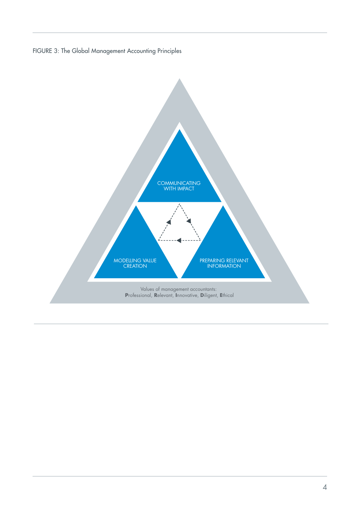FIGURE 3: The Global Management Accounting Principles

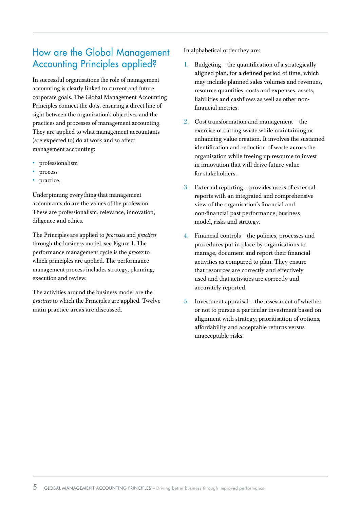# How are the Global Management Accounting Principles applied?

In successful organisations the role of management accounting is clearly linked to current and future corporate goals. The Global Management Accounting Principles connect the dots, ensuring a direct line of sight between the organisation's objectives and the practices and processes of management accounting. They are applied to what management accountants (are expected to) do at work and so affect management accounting:

- • professionalism
- • process
- practice.

Underpinning everything that management accountants do are the values of the profession. These are professionalism, relevance, innovation, diligence and ethics.

The Principles are applied to *processes* and *practices* through the business model, see Figure 1. The performance management cycle is the *process* to which principles are applied. The performance management process includes strategy, planning, execution and review.

The activities around the business model are the *practices* to which the Principles are applied. Twelve main practice areas are discussed.

In alphabetical order they are:

- 1. Budgeting the quantification of a strategicallyaligned plan, for a defined period of time, which may include planned sales volumes and revenues, resource quantities, costs and expenses, assets, liabilities and cashflows as well as other nonfinancial metrics.
- 2. Cost transformation and management the exercise of cutting waste while maintaining or enhancing value creation. It involves the sustained identification and reduction of waste across the organisation while freeing up resource to invest in innovation that will drive future value for stakeholders.
- 3. External reporting provides users of external reports with an integrated and comprehensive view of the organisation's financial and non-financial past performance, business model, risks and strategy.
- 4. Financial controls the policies, processes and procedures put in place by organisations to manage, document and report their financial activities as compared to plan. They ensure that resources are correctly and effectively used and that activities are correctly and accurately reported.
- 5. Investment appraisal the assessment of whether or not to pursue a particular investment based on alignment with strategy, prioritisation of options, affordability and acceptable returns versus unacceptable risks.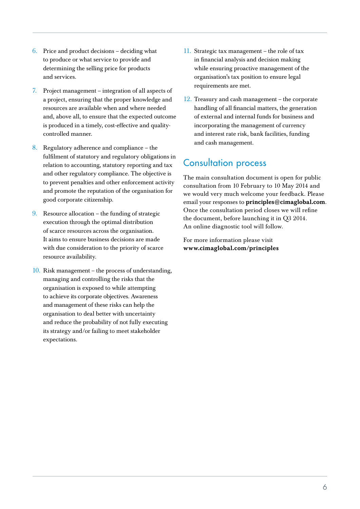- 6. Price and product decisions deciding what to produce or what service to provide and determining the selling price for products and services.
- 7. Project management integration of all aspects of a project, ensuring that the proper knowledge and resources are available when and where needed and, above all, to ensure that the expected outcome is produced in a timely, cost-effective and qualitycontrolled manner.
- 8. Regulatory adherence and compliance the fulfilment of statutory and regulatory obligations in relation to accounting, statutory reporting and tax and other regulatory compliance. The objective is to prevent penalties and other enforcement activity and promote the reputation of the organisation for good corporate citizenship.
- 9. Resource allocation the funding of strategic execution through the optimal distribution of scarce resources across the organisation. It aims to ensure business decisions are made with due consideration to the priority of scarce resource availability.
- 10. Risk management the process of understanding, managing and controlling the risks that the organisation is exposed to while attempting to achieve its corporate objectives. Awareness and management of these risks can help the organisation to deal better with uncertainty and reduce the probability of not fully executing its strategy and/or failing to meet stakeholder expectations.
- 11. Strategic tax management the role of tax in financial analysis and decision making while ensuring proactive management of the organisation's tax position to ensure legal requirements are met.
- 12. Treasury and cash management the corporate handling of all financial matters, the generation of external and internal funds for business and incorporating the management of currency and interest rate risk, bank facilities, funding and cash management.

# Consultation process

The main consultation document is open for public consultation from 10 February to 10 May 2014 and we would very much welcome your feedback. Please email your responses to principles@cimaglobal.com. Once the consultation period closes we will refine the document, before launching it in Q3 2014. An online diagnostic tool will follow.

For more information please visit www.cimaglobal.com/principles